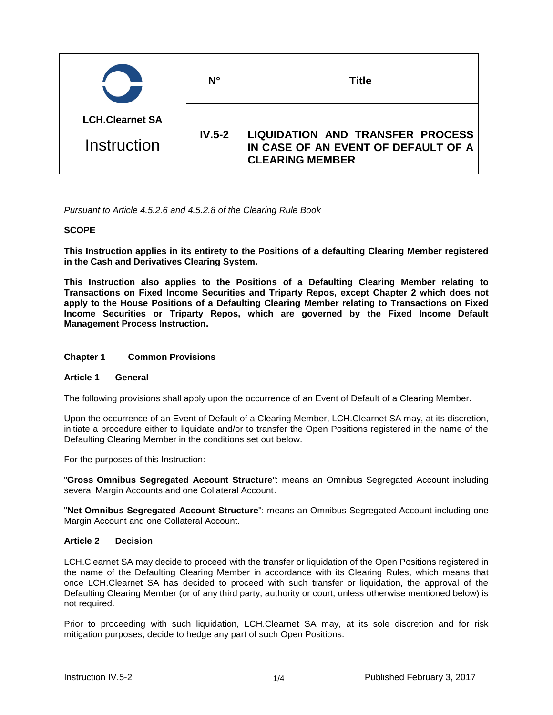|                        | N°       | Title                                                                                                    |
|------------------------|----------|----------------------------------------------------------------------------------------------------------|
| <b>LCH.Clearnet SA</b> | $IV.5-2$ | <b>LIQUIDATION AND TRANSFER PROCESS</b><br>IN CASE OF AN EVENT OF DEFAULT OF A<br><b>CLEARING MEMBER</b> |
| Instruction            |          |                                                                                                          |

*Pursuant to Article 4.5.2.6 and 4.5.2.8 of the Clearing Rule Book* 

# **SCOPE**

**This Instruction applies in its entirety to the Positions of a defaulting Clearing Member registered in the Cash and Derivatives Clearing System.**

**This Instruction also applies to the Positions of a Defaulting Clearing Member relating to Transactions on Fixed Income Securities and Triparty Repos, except Chapter 2 which does not apply to the House Positions of a Defaulting Clearing Member relating to Transactions on Fixed Income Securities or Triparty Repos, which are governed by the Fixed Income Default Management Process Instruction.**

## **Chapter 1 Common Provisions**

### **Article 1 General**

The following provisions shall apply upon the occurrence of an Event of Default of a Clearing Member.

Upon the occurrence of an Event of Default of a Clearing Member, LCH.Clearnet SA may, at its discretion, initiate a procedure either to liquidate and/or to transfer the Open Positions registered in the name of the Defaulting Clearing Member in the conditions set out below.

For the purposes of this Instruction:

"**Gross Omnibus Segregated Account Structure**": means an Omnibus Segregated Account including several Margin Accounts and one Collateral Account.

"**Net Omnibus Segregated Account Structure**": means an Omnibus Segregated Account including one Margin Account and one Collateral Account.

### **Article 2 Decision**

LCH.Clearnet SA may decide to proceed with the transfer or liquidation of the Open Positions registered in the name of the Defaulting Clearing Member in accordance with its Clearing Rules, which means that once LCH.Clearnet SA has decided to proceed with such transfer or liquidation, the approval of the Defaulting Clearing Member (or of any third party, authority or court, unless otherwise mentioned below) is not required.

Prior to proceeding with such liquidation, LCH.Clearnet SA may, at its sole discretion and for risk mitigation purposes, decide to hedge any part of such Open Positions.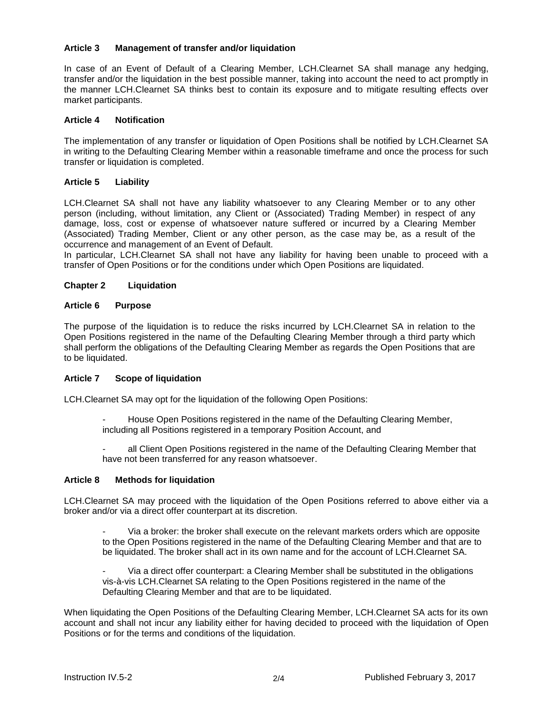# **Article 3 Management of transfer and/or liquidation**

In case of an Event of Default of a Clearing Member, LCH.Clearnet SA shall manage any hedging, transfer and/or the liquidation in the best possible manner, taking into account the need to act promptly in the manner LCH.Clearnet SA thinks best to contain its exposure and to mitigate resulting effects over market participants.

## **Article 4 Notification**

The implementation of any transfer or liquidation of Open Positions shall be notified by LCH.Clearnet SA in writing to the Defaulting Clearing Member within a reasonable timeframe and once the process for such transfer or liquidation is completed.

# **Article 5 Liability**

LCH.Clearnet SA shall not have any liability whatsoever to any Clearing Member or to any other person (including, without limitation, any Client or (Associated) Trading Member) in respect of any damage, loss, cost or expense of whatsoever nature suffered or incurred by a Clearing Member (Associated) Trading Member, Client or any other person, as the case may be, as a result of the occurrence and management of an Event of Default.

In particular, LCH.Clearnet SA shall not have any liability for having been unable to proceed with a transfer of Open Positions or for the conditions under which Open Positions are liquidated.

# **Chapter 2 Liquidation**

# **Article 6 Purpose**

The purpose of the liquidation is to reduce the risks incurred by LCH.Clearnet SA in relation to the Open Positions registered in the name of the Defaulting Clearing Member through a third party which shall perform the obligations of the Defaulting Clearing Member as regards the Open Positions that are to be liquidated.

# **Article 7 Scope of liquidation**

LCH.Clearnet SA may opt for the liquidation of the following Open Positions:

- House Open Positions registered in the name of the Defaulting Clearing Member, including all Positions registered in a temporary Position Account, and
- all Client Open Positions registered in the name of the Defaulting Clearing Member that have not been transferred for any reason whatsoever.

# **Article 8 Methods for liquidation**

LCH.Clearnet SA may proceed with the liquidation of the Open Positions referred to above either via a broker and/or via a direct offer counterpart at its discretion.

- Via a broker: the broker shall execute on the relevant markets orders which are opposite to the Open Positions registered in the name of the Defaulting Clearing Member and that are to be liquidated. The broker shall act in its own name and for the account of LCH.Clearnet SA.
- Via a direct offer counterpart: a Clearing Member shall be substituted in the obligations vis-à-vis LCH.Clearnet SA relating to the Open Positions registered in the name of the Defaulting Clearing Member and that are to be liquidated.

When liquidating the Open Positions of the Defaulting Clearing Member, LCH.Clearnet SA acts for its own account and shall not incur any liability either for having decided to proceed with the liquidation of Open Positions or for the terms and conditions of the liquidation.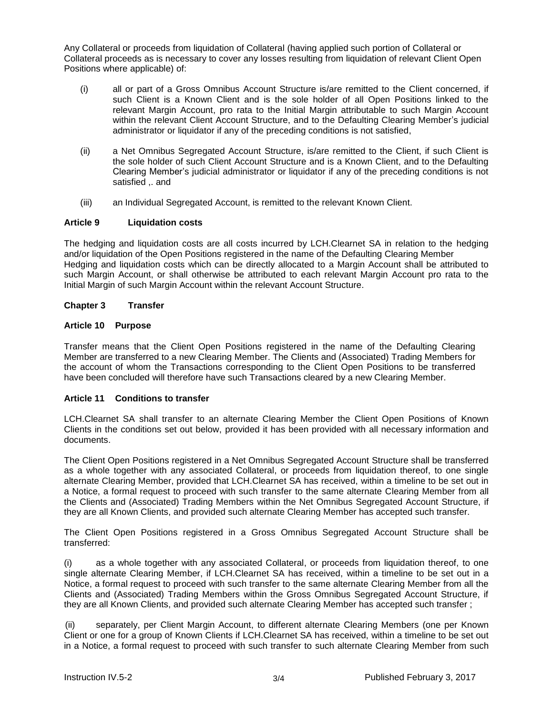Any Collateral or proceeds from liquidation of Collateral (having applied such portion of Collateral or Collateral proceeds as is necessary to cover any losses resulting from liquidation of relevant Client Open Positions where applicable) of:

- (i) all or part of a Gross Omnibus Account Structure is/are remitted to the Client concerned, if such Client is a Known Client and is the sole holder of all Open Positions linked to the relevant Margin Account, pro rata to the Initial Margin attributable to such Margin Account within the relevant Client Account Structure, and to the Defaulting Clearing Member's judicial administrator or liquidator if any of the preceding conditions is not satisfied,
- (ii) a Net Omnibus Segregated Account Structure, is/are remitted to the Client, if such Client is the sole holder of such Client Account Structure and is a Known Client, and to the Defaulting Clearing Member's judicial administrator or liquidator if any of the preceding conditions is not satisfied .. and
- (iii) an Individual Segregated Account, is remitted to the relevant Known Client.

# **Article 9 Liquidation costs**

The hedging and liquidation costs are all costs incurred by LCH.Clearnet SA in relation to the hedging and/or liquidation of the Open Positions registered in the name of the Defaulting Clearing Member Hedging and liquidation costs which can be directly allocated to a Margin Account shall be attributed to such Margin Account, or shall otherwise be attributed to each relevant Margin Account pro rata to the Initial Margin of such Margin Account within the relevant Account Structure.

# **Chapter 3 Transfer**

### **Article 10 Purpose**

Transfer means that the Client Open Positions registered in the name of the Defaulting Clearing Member are transferred to a new Clearing Member. The Clients and (Associated) Trading Members for the account of whom the Transactions corresponding to the Client Open Positions to be transferred have been concluded will therefore have such Transactions cleared by a new Clearing Member.

### **Article 11 Conditions to transfer**

LCH.Clearnet SA shall transfer to an alternate Clearing Member the Client Open Positions of Known Clients in the conditions set out below, provided it has been provided with all necessary information and documents.

The Client Open Positions registered in a Net Omnibus Segregated Account Structure shall be transferred as a whole together with any associated Collateral, or proceeds from liquidation thereof, to one single alternate Clearing Member, provided that LCH.Clearnet SA has received, within a timeline to be set out in a Notice, a formal request to proceed with such transfer to the same alternate Clearing Member from all the Clients and (Associated) Trading Members within the Net Omnibus Segregated Account Structure, if they are all Known Clients, and provided such alternate Clearing Member has accepted such transfer.

The Client Open Positions registered in a Gross Omnibus Segregated Account Structure shall be transferred:

(i) as a whole together with any associated Collateral, or proceeds from liquidation thereof, to one single alternate Clearing Member, if LCH.Clearnet SA has received, within a timeline to be set out in a Notice, a formal request to proceed with such transfer to the same alternate Clearing Member from all the Clients and (Associated) Trading Members within the Gross Omnibus Segregated Account Structure, if they are all Known Clients, and provided such alternate Clearing Member has accepted such transfer ;

(ii) separately, per Client Margin Account, to different alternate Clearing Members (one per Known Client or one for a group of Known Clients if LCH.Clearnet SA has received, within a timeline to be set out in a Notice, a formal request to proceed with such transfer to such alternate Clearing Member from such